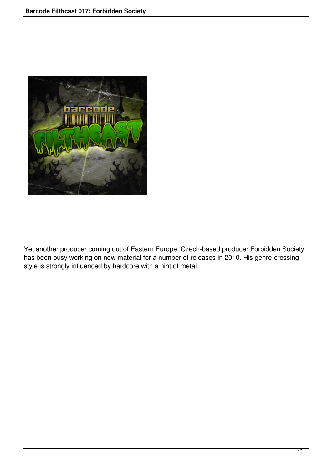

Yet another producer coming out of Eastern Europe, Czech-based producer Forbidden Society has been busy working on new material for a number of releases in 2010. His genre-crossing style is strongly influenced by hardcore with a hint of metal.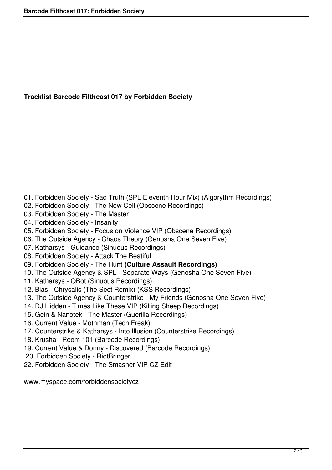## **Tracklist Barcode Filthcast 017 by Forbidden Society**

- 01. Forbidden Society Sad Truth (SPL Eleventh Hour Mix) (Algorythm Recordings)
- 02. Forbidden Society The New Cell (Obscene Recordings)
- 03. Forbidden Society The Master
- 04. Forbidden Society Insanity
- 05. Forbidden Society Focus on Violence VIP (Obscene Recordings)
- 06. The Outside Agency Chaos Theory (Genosha One Seven Five)
- 07. Katharsys Guidance (Sinuous Recordings)
- 08. Forbidden Society Attack The Beatiful
- 09. Forbidden Society The Hunt **(Culture Assault Recordings)**
- 10. The Outside Agency & SPL Separate Ways (Genosha One Seven Five)
- 11. Katharsys QBot (Sinuous Recordings)
- 12. Bias Chrysalis (The Sect Remix) (KSS Recordings)
- 13. The Outside Agency & Counterstrike My Friends (Genosha One Seven Five)
- 14. DJ Hidden Times Like These VIP (Killing Sheep Recordings)
- 15. Gein & Nanotek The Master (Guerilla Recordings)
- 16. Current Value Mothman (Tech Freak)
- 17. Counterstrike & Katharsys Into Illusion (Counterstrike Recordings)
- 18. Krusha Room 101 (Barcode Recordings)
- 19. Current Value & Donny Discovered (Barcode Recordings)
- 20. Forbidden Society RiotBringer
- 22. Forbidden Society The Smasher VIP CZ Edit

www.myspace.com/forbiddensocietycz